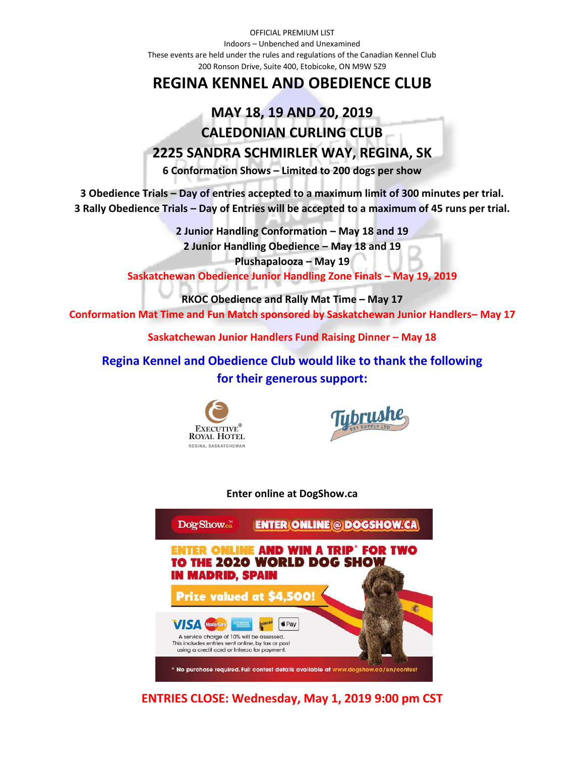OFFICIAL PREMIUM LIST Indoors – Unbenched and Unexamined These events are held under the rules and regulations of the Canadian Kennel Club 200 Ronson Drive, Suite 400, Etobicoke, ON M9W 5Z9

# **REGINA KENNEL AND OBEDIENCE CLUB**

# **MAY 18, 19 AND 20, 2019 CALEDONIAN CURLING CLUB 2225 SANDRA SCHMIRLER WAY, REGINA, SK**

**6 Conformation Shows – Limited to 200 dogs per show**

**3 Obedience Trials – Day of entries accepted to a maximum limit of 300 minutes per trial. 3 Rally Obedience Trials – Day of Entries will be accepted to a maximum of 45 runs per trial.**

> **2 Junior Handling Conformation – May 18 and 19 2 Junior Handling Obedience – May 18 and 19 Plushapalooza – May 19**

**Saskatchewan Obedience Junior Handling Zone Finals – May 19, 2019**

**RKOC Obedience and Rally Mat Time – May 17**

**Conformation Mat Time and Fun Match sponsored by Saskatchewan Junior Handlers– May 17**

**Saskatchewan Junior Handlers Fund Raising Dinner – May 18**

**Regina Kennel and Obedience Club would like to thank the following for their generous support:**





**Enter online at DogShow.ca**



**ENTRIES CLOSE: Wednesday, May 1, 2019 9:00 pm CST**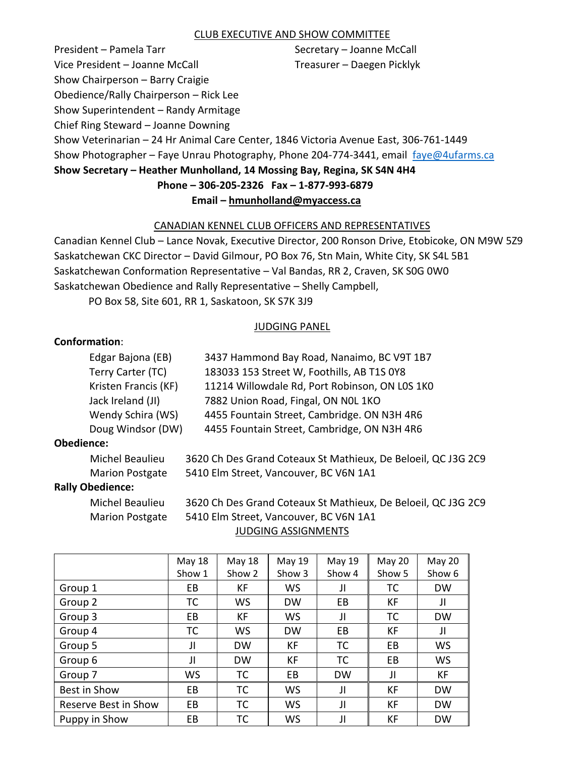### CLUB EXECUTIVE AND SHOW COMMITTEE

President – Pamela Tarr Secretary – Joanne McCall Vice President – Joanne McCall Treasurer – Daegen Picklyk Show Chairperson – Barry Craigie Obedience/Rally Chairperson – Rick Lee Show Superintendent – Randy Armitage Chief Ring Steward – Joanne Downing Show Veterinarian – 24 Hr Animal Care Center, 1846 Victoria Avenue East, 306-761-1449 Show Photographer - Faye Unrau Photography, Phone 204-774-3441, email [faye@4ufarms.ca](mailto:faye@4ufarms.ca) **Show Secretary – Heather Munholland, 14 Mossing Bay, Regina, SK S4N 4H4 Phone – 306-205-2326 Fax – 1-877-993-6879**

# **Email – [hmunholland@myaccess.ca](mailto:hmunholland@myaccess.ca)**

## CANADIAN KENNEL CLUB OFFICERS AND REPRESENTATIVES

Canadian Kennel Club – Lance Novak, Executive Director, 200 Ronson Drive, Etobicoke, ON M9W 5Z9 Saskatchewan CKC Director – David Gilmour, PO Box 76, Stn Main, White City, SK S4L 5B1 Saskatchewan Conformation Representative – Val Bandas, RR 2, Craven, SK S0G 0W0 Saskatchewan Obedience and Rally Representative – Shelly Campbell,

PO Box 58, Site 601, RR 1, Saskatoon, SK S7K 3J9

### JUDGING PANEL

# **Conformation**:

| Edgar Bajona (EB)    | 3437 Hammond Bay Road, Nanaimo, BC V9T 1B7     |
|----------------------|------------------------------------------------|
| Terry Carter (TC)    | 183033 153 Street W, Foothills, AB T1S 0Y8     |
| Kristen Francis (KF) | 11214 Willowdale Rd, Port Robinson, ON LOS 1KO |
| Jack Ireland (JI)    | 7882 Union Road, Fingal, ON NOL 1KO            |
| Wendy Schira (WS)    | 4455 Fountain Street, Cambridge. ON N3H 4R6    |
| Doug Windsor (DW)    | 4455 Fountain Street, Cambridge, ON N3H 4R6    |
|                      |                                                |

### **Obedience:**

Michel Beaulieu 3620 Ch Des Grand Coteaux St Mathieux, De Beloeil, QC J3G 2C9 Marion Postgate 5410 Elm Street, Vancouver, BC V6N 1A1

### **Rally Obedience:**

Michel Beaulieu 3620 Ch Des Grand Coteaux St Mathieux, De Beloeil, QC J3G 2C9 Marion Postgate 5410 Elm Street, Vancouver, BC V6N 1A1 JUDGING ASSIGNMENTS

|                      | <b>May 18</b><br>Show 1 | <b>May 18</b><br>Show 2 | May 19<br>Show 3 | May 19<br>Show 4 | <b>May 20</b><br>Show 5 | May 20<br>Show 6 |
|----------------------|-------------------------|-------------------------|------------------|------------------|-------------------------|------------------|
| Group 1              | EB                      | КF                      | WS               | JI               | тс                      | <b>DW</b>        |
| Group 2              | ТC                      | WS                      | <b>DW</b>        | EВ               | KF                      | JI               |
| Group 3              | EB                      | КF                      | WS               | JI               | тс                      | <b>DW</b>        |
| Group 4              | ТC                      | WS                      | <b>DW</b>        | EВ               | KF                      | JI               |
| Group 5              | Л                       | <b>DW</b>               | КF               | TC               | EB.                     | WS               |
| Group 6              | Л                       | <b>DW</b>               | КF               | TC               | EB                      | <b>WS</b>        |
| Group 7              | WS                      | <b>TC</b>               | EВ               | <b>DW</b>        | Л                       | КF               |
| Best in Show         | EB.                     | <b>TC</b>               | WS               | JI               | КF                      | <b>DW</b>        |
| Reserve Best in Show | EB                      | TC                      | WS               | JI               | КF                      | <b>DW</b>        |
| Puppy in Show        | EВ                      | ТC                      | WS               | JI               | KF                      | <b>DW</b>        |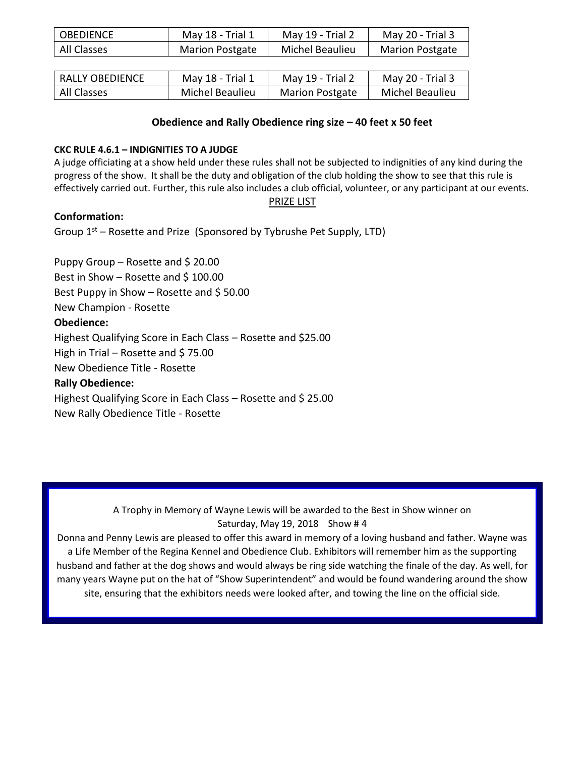| <b>OBEDIENCE</b> | May 18 - Trial 1       | May 19 - Trial ∠ | May 20 - Trial 3       |
|------------------|------------------------|------------------|------------------------|
| All Classes      | <b>Marion Postgate</b> | Michel Beaulieu  | <b>Marion Postgate</b> |

| RALLY OBEDIENCE | May 18 - Trial 1 | May 19 - Trial 2       | May 20 - Trial 3 |
|-----------------|------------------|------------------------|------------------|
| All Classes     | Michel Beaulieu  | <b>Marion Postgate</b> | Michel Beaulieu  |

### **Obedience and Rally Obedience ring size – 40 feet x 50 feet**

### **CKC RULE 4.6.1 – INDIGNITIES TO A JUDGE**

A judge officiating at a show held under these rules shall not be subjected to indignities of any kind during the progress of the show. It shall be the duty and obligation of the club holding the show to see that this rule is effectively carried out. Further, this rule also includes a club official, volunteer, or any participant at our events.

### PRIZE LIST

# **Conformation:**

Group 1<sup>st</sup> – Rosette and Prize (Sponsored by Tybrushe Pet Supply, LTD)

Puppy Group – Rosette and \$20.00 Best in Show – Rosette and  $$100.00$ Best Puppy in Show – Rosette and  $$50.00$ New Champion - Rosette **Obedience:** Highest Qualifying Score in Each Class – Rosette and \$25.00 High in Trial – Rosette and \$75.00 New Obedience Title - Rosette **Rally Obedience:** Highest Qualifying Score in Each Class – Rosette and \$ 25.00 New Rally Obedience Title - Rosette

> A Trophy in Memory of Wayne Lewis will be awarded to the Best in Show winner on Saturday, May 19, 2018 Show # 4

Donna and Penny Lewis are pleased to offer this award in memory of a loving husband and father. Wayne was a Life Member of the Regina Kennel and Obedience Club. Exhibitors will remember him as the supporting husband and father at the dog shows and would always be ring side watching the finale of the day. As well, for many years Wayne put on the hat of "Show Superintendent" and would be found wandering around the show site, ensuring that the exhibitors needs were looked after, and towing the line on the official side.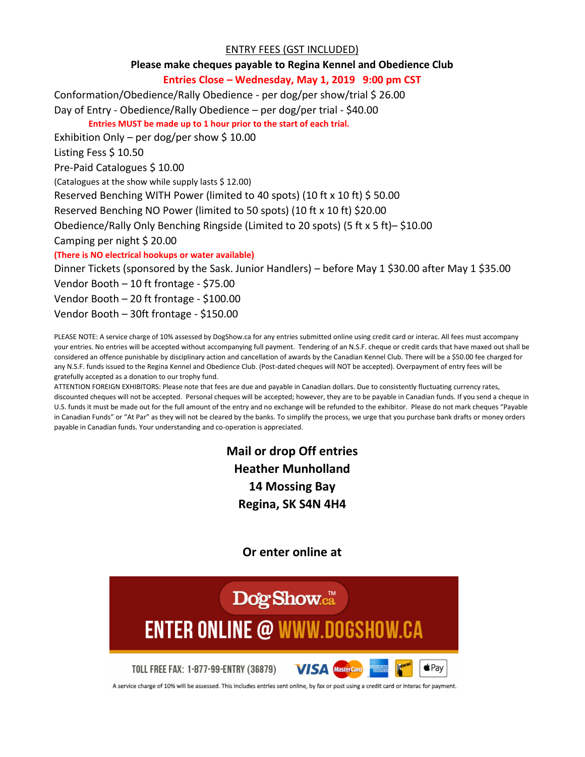## ENTRY FEES (GST INCLUDED)

### **Please make cheques payable to Regina Kennel and Obedience Club**

## **Entries Close – Wednesday, May 1, 2019 9:00 pm CST**

Conformation/Obedience/Rally Obedience - per dog/per show/trial \$ 26.00

Day of Entry - Obedience/Rally Obedience – per dog/per trial - \$40.00

**Entries MUST be made up to 1 hour prior to the start of each trial.**

Exhibition Only – per dog/per show \$10.00

Listing Fess \$ 10.50

Pre-Paid Catalogues \$ 10.00

(Catalogues at the show while supply lasts \$ 12.00)

Reserved Benching WITH Power (limited to 40 spots) (10 ft x 10 ft) \$ 50.00

Reserved Benching NO Power (limited to 50 spots) (10 ft x 10 ft) \$20.00

Obedience/Rally Only Benching Ringside (Limited to 20 spots) (5 ft x 5 ft)– \$10.00

Camping per night \$ 20.00

**(There is NO electrical hookups or water available)**

Dinner Tickets (sponsored by the Sask. Junior Handlers) – before May 1 \$30.00 after May 1 \$35.00

Vendor Booth – 10 ft frontage - \$75.00

Vendor Booth – 20 ft frontage - \$100.00

Vendor Booth – 30ft frontage - \$150.00

PLEASE NOTE: A service charge of 10% assessed by DogShow.ca for any entries submitted online using credit card or interac. All fees must accompany your entries. No entries will be accepted without accompanying full payment. Tendering of an N.S.F. cheque or credit cards that have maxed out shall be considered an offence punishable by disciplinary action and cancellation of awards by the Canadian Kennel Club. There will be a \$50.00 fee charged for any N.S.F. funds issued to the Regina Kennel and Obedience Club. (Post-dated cheques will NOT be accepted). Overpayment of entry fees will be gratefully accepted as a donation to our trophy fund.

ATTENTION FOREIGN EXHIBITORS: Please note that fees are due and payable in Canadian dollars. Due to consistently fluctuating currency rates, discounted cheques will not be accepted. Personal cheques will be accepted; however, they are to be payable in Canadian funds. If you send a cheque in U.S. funds it must be made out for the full amount of the entry and no exchange will be refunded to the exhibitor. Please do not mark cheques "Payable in Canadian Funds" or "At Par" as they will not be cleared by the banks. To simplify the process, we urge that you purchase bank drafts or money orders payable in Canadian funds. Your understanding and co-operation is appreciated.

> **Mail or drop Off entries Heather Munholland 14 Mossing Bay Regina, SK S4N 4H4**

> > **Or enter online at**



A service charge of 10% will be assessed. This includes entries sent online, by fax or post using a credit card or interac for payment.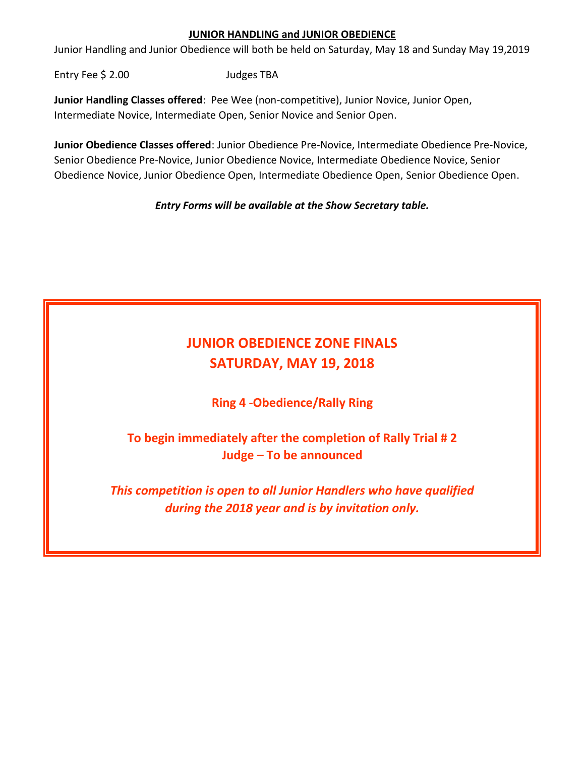# **JUNIOR HANDLING and JUNIOR OBEDIENCE**

Junior Handling and Junior Obedience will both be held on Saturday, May 18 and Sunday May 19,2019

Entry Fee \$ 2.00 Judges TBA

**Junior Handling Classes offered**: Pee Wee (non-competitive), Junior Novice, Junior Open, Intermediate Novice, Intermediate Open, Senior Novice and Senior Open.

**Junior Obedience Classes offered**: Junior Obedience Pre-Novice, Intermediate Obedience Pre-Novice, Senior Obedience Pre-Novice, Junior Obedience Novice, Intermediate Obedience Novice, Senior Obedience Novice, Junior Obedience Open, Intermediate Obedience Open, Senior Obedience Open.

*Entry Forms will be available at the Show Secretary table.*

# **JUNIOR OBEDIENCE ZONE FINALS SATURDAY, MAY 19, 2018**

**Ring 4 -Obedience/Rally Ring**

**To begin immediately after the completion of Rally Trial # 2 Judge – To be announced**

*This competition is open to all Junior Handlers who have qualified during the 2018 year and is by invitation only.*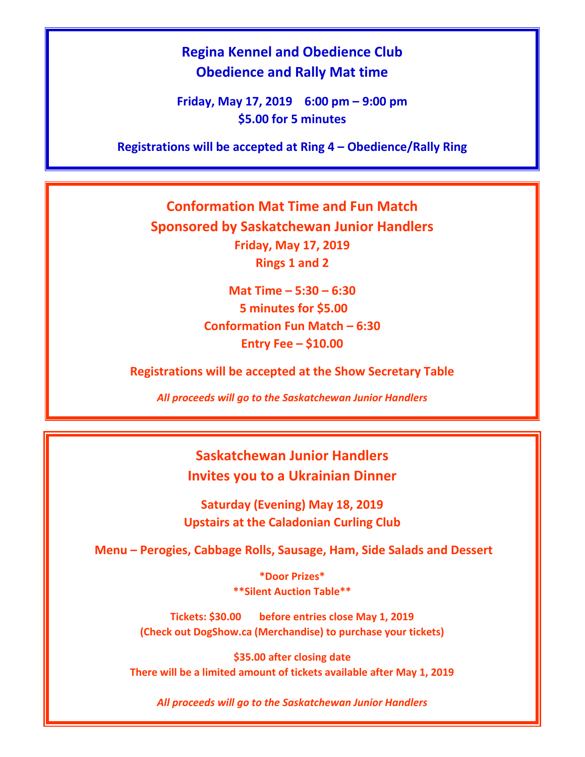# **Regina Kennel and Obedience Club Obedience and Rally Mat time**

**Friday, May 17, 2019 6:00 pm – 9:00 pm \$5.00 for 5 minutes**

**Registrations will be accepted at Ring 4 – Obedience/Rally Ring**

**Conformation Mat Time and Fun Match Sponsored by Saskatchewan Junior Handlers Friday, May 17, 2019 Rings 1 and 2**

> **Mat Time – 5:30 – 6:30 5 minutes for \$5.00 Conformation Fun Match – 6:30 Entry Fee – \$10.00**

**Registrations will be accepted at the Show Secretary Table**

*All proceeds will go to the Saskatchewan Junior Handlers*

**Saskatchewan Junior Handlers Invites you to a Ukrainian Dinner**

**Saturday (Evening) May 18, 2019 Upstairs at the Caladonian Curling Club**

**Menu – Perogies, Cabbage Rolls, Sausage, Ham, Side Salads and Dessert**

**\*Door Prizes\* \*\*Silent Auction Table\*\***

**Tickets: \$30.00 before entries close May 1, 2019 (Check out DogShow.ca (Merchandise) to purchase your tickets)**

**\$35.00 after closing date There will be a limited amount of tickets available after May 1, 2019**

*All proceeds will go to the Saskatchewan Junior Handlers*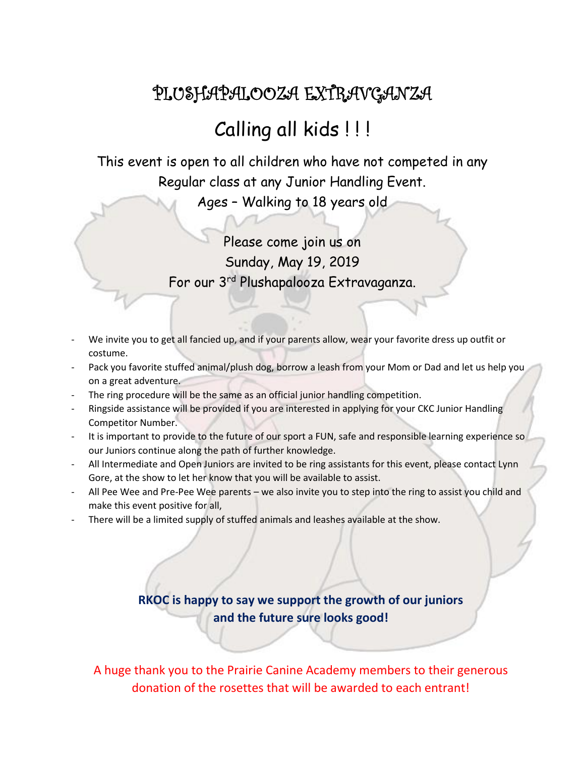# PLUSHAPALOOZA EXTRAVGANZA

# Calling all kids ! ! !

This event is open to all children who have not competed in any Regular class at any Junior Handling Event.

Ages – Walking to 18 years old

Please come join us on Sunday, May 19, 2019 For our 3rd Plushapalooza Extravaganza.

- We invite you to get all fancied up, and if your parents allow, wear your favorite dress up outfit or costume.
- Pack you favorite stuffed animal/plush dog, borrow a leash from your Mom or Dad and let us help you on a great adventure.
- The ring procedure will be the same as an official junior handling competition.
- Ringside assistance will be provided if you are interested in applying for your CKC Junior Handling Competitor Number.
- It is important to provide to the future of our sport a FUN, safe and responsible learning experience so our Juniors continue along the path of further knowledge.
- All Intermediate and Open Juniors are invited to be ring assistants for this event, please contact Lynn Gore, at the show to let her know that you will be available to assist.
- All Pee Wee and Pre-Pee Wee parents we also invite you to step into the ring to assist you child and make this event positive for all,
- There will be a limited supply of stuffed animals and leashes available at the show.

# **RKOC is happy to say we support the growth of our juniors and the future sure looks good!**

A huge thank you to the Prairie Canine Academy members to their generous donation of the rosettes that will be awarded to each entrant!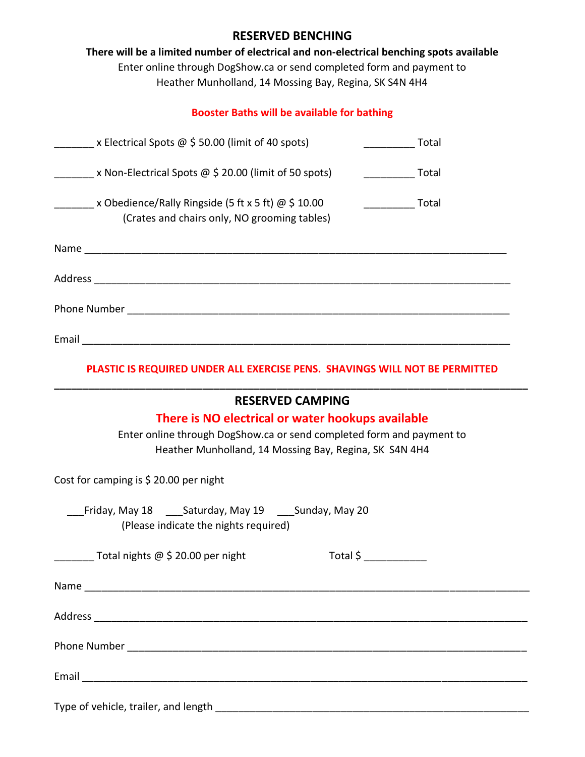# **RESERVED BENCHING**

**There will be a limited number of electrical and non-electrical benching spots available** Enter online through DogShow.ca or send completed form and payment to Heather Munholland, 14 Mossing Bay, Regina, SK S4N 4H4

# **Booster Baths will be available for bathing**

| x Electrical Spots @ \$ 50.00 (limit of 40 spots)                                                   | Total |
|-----------------------------------------------------------------------------------------------------|-------|
| x Non-Electrical Spots $\omega$ \$ 20.00 (limit of 50 spots)                                        | Total |
| x Obedience/Rally Ringside (5 ft x 5 ft) @ \$ 10.00<br>(Crates and chairs only, NO grooming tables) | Total |
|                                                                                                     |       |
|                                                                                                     |       |
| <b>Phone Number Example 20</b>                                                                      |       |
| Email                                                                                               |       |

# **PLASTIC IS REQUIRED UNDER ALL EXERCISE PENS. SHAVINGS WILL NOT BE PERMITTED \_\_\_\_\_\_\_\_\_\_\_\_\_\_\_\_\_\_\_\_\_\_\_\_\_\_\_\_\_\_\_\_\_\_\_\_\_\_\_\_\_\_\_\_\_\_\_\_\_\_\_\_\_\_\_\_\_\_\_\_\_\_\_\_\_\_\_\_\_\_\_\_\_\_\_\_\_\_\_\_\_\_\_**

| <b>RESERVED CAMPING</b>                                                                         |
|-------------------------------------------------------------------------------------------------|
| There is NO electrical or water hookups available                                               |
| Enter online through DogShow.ca or send completed form and payment to                           |
| Heather Munholland, 14 Mossing Bay, Regina, SK S4N 4H4                                          |
| Cost for camping is $$20.00$ per night                                                          |
| __Friday, May 18 ___Saturday, May 19 ___Sunday, May 20<br>(Please indicate the nights required) |
| $Total $ \sum$<br>$\overline{\phantom{0}}$ Total nights @ \$ 20.00 per night                    |
|                                                                                                 |
|                                                                                                 |
|                                                                                                 |
|                                                                                                 |
| Type of vehicle, trailer, and length                                                            |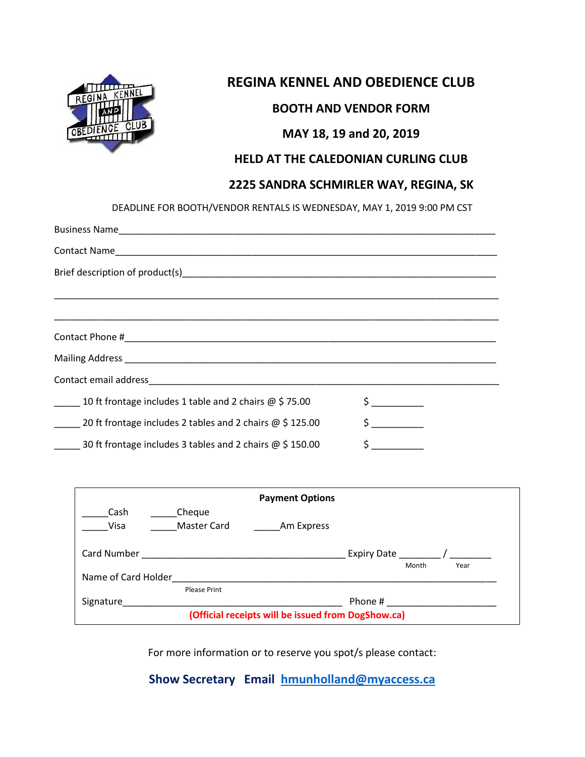

# **REGINA KENNEL AND OBEDIENCE CLUB**

# **BOOTH AND VENDOR FORM**

# **MAY 18, 19 and 20, 2019**

# **HELD AT THE CALEDONIAN CURLING CLUB**

# **2225 SANDRA SCHMIRLER WAY, REGINA, SK**

DEADLINE FOR BOOTH/VENDOR RENTALS IS WEDNESDAY, MAY 1, 2019 9:00 PM CST

| 10 ft frontage includes 1 table and 2 chairs $\omega$ \$75.00    |  |
|------------------------------------------------------------------|--|
| 20 ft frontage includes 2 tables and 2 chairs $\omega$ \$ 125.00 |  |
| 30 ft frontage includes 3 tables and 2 chairs $\omega$ \$ 150.00 |  |

|                                                    |                     | <b>Payment Options</b> |               |       |      |  |
|----------------------------------------------------|---------------------|------------------------|---------------|-------|------|--|
| Cash                                               | Cheque              |                        |               |       |      |  |
| Visa                                               | <b>Master Card</b>  | Am Express             |               |       |      |  |
| Card Number                                        |                     |                        | Expiry Date / |       |      |  |
|                                                    |                     |                        |               | Month | Year |  |
| Name of Card Holder                                |                     |                        |               |       |      |  |
|                                                    | <b>Please Print</b> |                        |               |       |      |  |
| Signature                                          |                     |                        | Phone #       |       |      |  |
| (Official receipts will be issued from DogShow.ca) |                     |                        |               |       |      |  |

For more information or to reserve you spot/s please contact:

**Show Secretary Email [hmunholland@myaccess.ca](mailto:hmunholland@myaccess.ca)**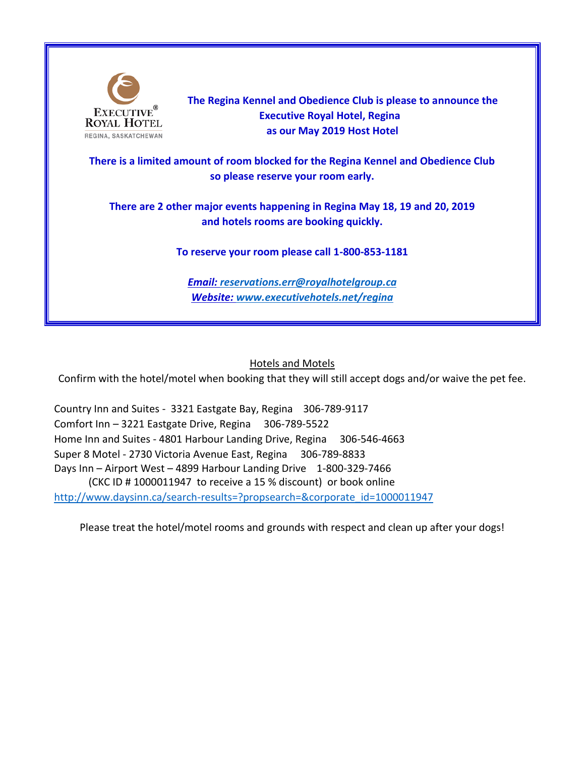

 **The Regina Kennel and Obedience Club is please to announce the Executive Royal Hotel, Regina as our May 2019 Host Hotel**

**There is a limited amount of room blocked for the Regina Kennel and Obedience Club so please reserve your room early.**

**There are 2 other major events happening in Regina May 18, 19 and 20, 2019 and hotels rooms are booking quickly.**

**To reserve your room please call 1-800-853-1181**

*Email: [reservations.err@royalhotelgroup.ca](mailto:reservations.err@royalhotelgroup.ca) Website: [www.executivehotels.net/regina](http://www.executivehotels.net/regina)*

# Hotels and Motels

Confirm with the hotel/motel when booking that they will still accept dogs and/or waive the pet fee.

Country Inn and Suites - 3321 Eastgate Bay, Regina 306-789-9117 Comfort Inn – 3221 Eastgate Drive, Regina 306-789-5522 Home Inn and Suites - 4801 Harbour Landing Drive, Regina 306-546-4663 Super 8 Motel - 2730 Victoria Avenue East, Regina 306-789-8833 Days Inn – Airport West – 4899 Harbour Landing Drive 1-800-329-7466 (CKC ID # 1000011947 to receive a 15 % discount) or book online [http://www.daysinn.ca/search-results=?propsearch=&corporate\\_id=1000011947](http://www.daysinn.ca/search-results=?propsearch=&corporate_id=1000011947)

Please treat the hotel/motel rooms and grounds with respect and clean up after your dogs!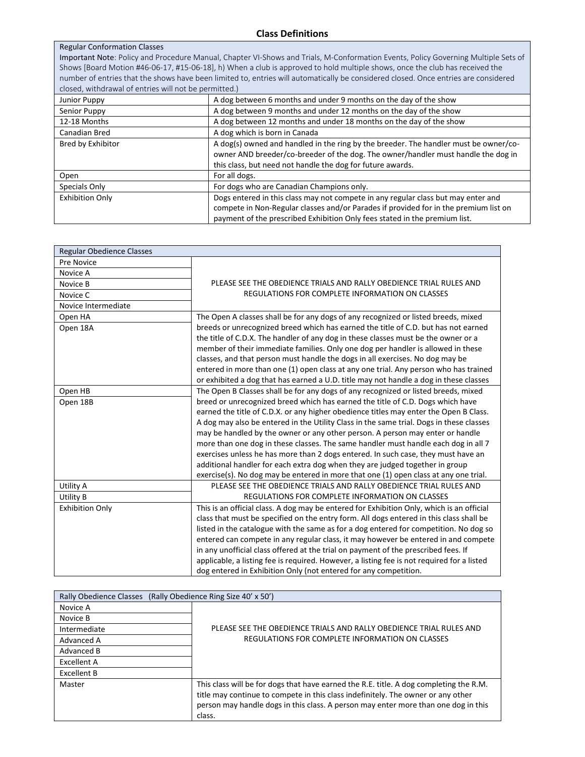### Regular Conformation Classes

Important Note: Policy and Procedure Manual, Chapter VI-Shows and Trials, M-Conformation Events, Policy Governing Multiple Sets of Shows [Board Motion #46-06-17, #15-06-18], h) When a club is approved to hold multiple shows, once the club has received the number of entries that the shows have been limited to, entries will automatically be considered closed. Once entries are considered closed, withdrawal of entries will not be permitted.)

| Junior Puppy           | A dog between 6 months and under 9 months on the day of the show                                                                                                          |
|------------------------|---------------------------------------------------------------------------------------------------------------------------------------------------------------------------|
| Senior Puppy           | A dog between 9 months and under 12 months on the day of the show                                                                                                         |
| 12-18 Months           | A dog between 12 months and under 18 months on the day of the show                                                                                                        |
| Canadian Bred          | A dog which is born in Canada                                                                                                                                             |
| Bred by Exhibitor      | A dog(s) owned and handled in the ring by the breeder. The handler must be owner/co-<br>owner AND breeder/co-breeder of the dog. The owner/handler must handle the dog in |
|                        | this class, but need not handle the dog for future awards.                                                                                                                |
| Open                   | For all dogs.                                                                                                                                                             |
| Specials Only          | For dogs who are Canadian Champions only.                                                                                                                                 |
| <b>Exhibition Only</b> | Dogs entered in this class may not compete in any regular class but may enter and                                                                                         |
|                        | compete in Non-Regular classes and/or Parades if provided for in the premium list on                                                                                      |
|                        | payment of the prescribed Exhibition Only fees stated in the premium list.                                                                                                |

| Regular Obedience Classes |                                                                                            |
|---------------------------|--------------------------------------------------------------------------------------------|
| Pre Novice                |                                                                                            |
| Novice A                  |                                                                                            |
| Novice B                  | PLEASE SEE THE OBEDIENCE TRIALS AND RALLY OBEDIENCE TRIAL RULES AND                        |
| Novice C                  | REGULATIONS FOR COMPLETE INFORMATION ON CLASSES                                            |
| Novice Intermediate       |                                                                                            |
| Open HA                   | The Open A classes shall be for any dogs of any recognized or listed breeds, mixed         |
| Open 18A                  | breeds or unrecognized breed which has earned the title of C.D. but has not earned         |
|                           | the title of C.D.X. The handler of any dog in these classes must be the owner or a         |
|                           | member of their immediate families. Only one dog per handler is allowed in these           |
|                           | classes, and that person must handle the dogs in all exercises. No dog may be              |
|                           | entered in more than one (1) open class at any one trial. Any person who has trained       |
|                           | or exhibited a dog that has earned a U.D. title may not handle a dog in these classes      |
| Open HB                   | The Open B Classes shall be for any dogs of any recognized or listed breeds, mixed         |
| Open 18B                  | breed or unrecognized breed which has earned the title of C.D. Dogs which have             |
|                           | earned the title of C.D.X. or any higher obedience titles may enter the Open B Class.      |
|                           | A dog may also be entered in the Utility Class in the same trial. Dogs in these classes    |
|                           | may be handled by the owner or any other person. A person may enter or handle              |
|                           | more than one dog in these classes. The same handler must handle each dog in all 7         |
|                           | exercises unless he has more than 2 dogs entered. In such case, they must have an          |
|                           | additional handler for each extra dog when they are judged together in group               |
|                           | exercise(s). No dog may be entered in more that one (1) open class at any one trial.       |
| Utility A                 | PLEASE SEE THE OBEDIENCE TRIALS AND RALLY OBEDIENCE TRIAL RULES AND                        |
| <b>Utility B</b>          | REGULATIONS FOR COMPLETE INFORMATION ON CLASSES                                            |
| <b>Exhibition Only</b>    | This is an official class. A dog may be entered for Exhibition Only, which is an official  |
|                           | class that must be specified on the entry form. All dogs entered in this class shall be    |
|                           | listed in the catalogue with the same as for a dog entered for competition. No dog so      |
|                           | entered can compete in any regular class, it may however be entered in and compete         |
|                           | in any unofficial class offered at the trial on payment of the prescribed fees. If         |
|                           | applicable, a listing fee is required. However, a listing fee is not required for a listed |
|                           | dog entered in Exhibition Only (not entered for any competition.                           |

| Rally Obedience Classes (Rally Obedience Ring Size 40' x 50') |                                                                                                                                                                                                                                                                            |
|---------------------------------------------------------------|----------------------------------------------------------------------------------------------------------------------------------------------------------------------------------------------------------------------------------------------------------------------------|
| Novice A                                                      |                                                                                                                                                                                                                                                                            |
| Novice B                                                      |                                                                                                                                                                                                                                                                            |
| Intermediate                                                  | PLEASE SEE THE OBEDIENCE TRIALS AND RALLY OBEDIENCE TRIAL RULES AND                                                                                                                                                                                                        |
| Advanced A                                                    | REGULATIONS FOR COMPLETE INFORMATION ON CLASSES                                                                                                                                                                                                                            |
| Advanced B                                                    |                                                                                                                                                                                                                                                                            |
| Excellent A                                                   |                                                                                                                                                                                                                                                                            |
| Excellent B                                                   |                                                                                                                                                                                                                                                                            |
| Master                                                        | This class will be for dogs that have earned the R.E. title. A dog completing the R.M.<br>title may continue to compete in this class indefinitely. The owner or any other<br>person may handle dogs in this class. A person may enter more than one dog in this<br>class. |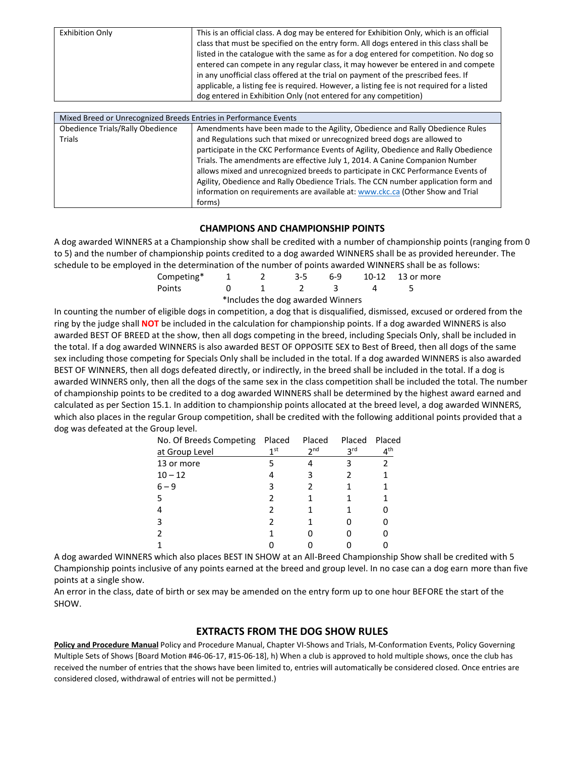| in any unofficial class offered at the trial on payment of the prescribed fees. If<br>applicable, a listing fee is required. However, a listing fee is not required for a listed |  | <b>Exhibition Only</b> | This is an official class. A dog may be entered for Exhibition Only, which is an official<br>class that must be specified on the entry form. All dogs entered in this class shall be<br>listed in the catalogue with the same as for a dog entered for competition. No dog so<br>entered can compete in any regular class, it may however be entered in and compete<br>dog entered in Exhibition Only (not entered for any competition) |
|----------------------------------------------------------------------------------------------------------------------------------------------------------------------------------|--|------------------------|-----------------------------------------------------------------------------------------------------------------------------------------------------------------------------------------------------------------------------------------------------------------------------------------------------------------------------------------------------------------------------------------------------------------------------------------|
|----------------------------------------------------------------------------------------------------------------------------------------------------------------------------------|--|------------------------|-----------------------------------------------------------------------------------------------------------------------------------------------------------------------------------------------------------------------------------------------------------------------------------------------------------------------------------------------------------------------------------------------------------------------------------------|

| Mixed Breed or Unrecognized Breeds Entries in Performance Events |                                                                                     |  |  |  |  |  |
|------------------------------------------------------------------|-------------------------------------------------------------------------------------|--|--|--|--|--|
| Obedience Trials/Rally Obedience                                 | Amendments have been made to the Agility, Obedience and Rally Obedience Rules       |  |  |  |  |  |
| Trials                                                           | and Regulations such that mixed or unrecognized breed dogs are allowed to           |  |  |  |  |  |
|                                                                  | participate in the CKC Performance Events of Agility, Obedience and Rally Obedience |  |  |  |  |  |
|                                                                  | Trials. The amendments are effective July 1, 2014. A Canine Companion Number        |  |  |  |  |  |
|                                                                  | allows mixed and unrecognized breeds to participate in CKC Performance Events of    |  |  |  |  |  |
|                                                                  | Agility, Obedience and Rally Obedience Trials. The CCN number application form and  |  |  |  |  |  |
|                                                                  | information on requirements are available at: www.ckc.ca (Other Show and Trial      |  |  |  |  |  |
|                                                                  | forms)                                                                              |  |  |  |  |  |

### **CHAMPIONS AND CHAMPIONSHIP POINTS**

A dog awarded WINNERS at a Championship show shall be credited with a number of championship points (ranging from 0 to 5) and the number of championship points credited to a dog awarded WINNERS shall be as provided hereunder. The schedule to be employed in the determination of the number of points awarded WINNERS shall be as follows:

| Competing* |          |  | 3-5 6-9 10-12 13 or more |
|------------|----------|--|--------------------------|
| Points     | $\sim$ 1 |  |                          |

\*Includes the dog awarded Winners

In counting the number of eligible dogs in competition, a dog that is disqualified, dismissed, excused or ordered from the ring by the judge shall **NOT** be included in the calculation for championship points. If a dog awarded WINNERS is also awarded BEST OF BREED at the show, then all dogs competing in the breed, including Specials Only, shall be included in the total. If a dog awarded WINNERS is also awarded BEST OF OPPOSITE SEX to Best of Breed, then all dogs of the same sex including those competing for Specials Only shall be included in the total. If a dog awarded WINNERS is also awarded BEST OF WINNERS, then all dogs defeated directly, or indirectly, in the breed shall be included in the total. If a dog is awarded WINNERS only, then all the dogs of the same sex in the class competition shall be included the total. The number of championship points to be credited to a dog awarded WINNERS shall be determined by the highest award earned and calculated as per Section 15.1. In addition to championship points allocated at the breed level, a dog awarded WINNERS, which also places in the regular Group competition, shall be credited with the following additional points provided that a dog was defeated at the Group level.

| No. Of Breeds Competing Placed |                 | Placed          | Placed          | Placed       |
|--------------------------------|-----------------|-----------------|-----------------|--------------|
| at Group Level                 | 1 <sup>st</sup> | 2 <sub>nd</sub> | 3 <sup>rd</sup> | $4^{\sf th}$ |
| 13 or more                     |                 |                 |                 |              |
| $10 - 12$                      |                 |                 |                 |              |
| $6 - 9$                        | З               |                 |                 |              |
| 5                              |                 |                 |                 |              |
|                                |                 |                 |                 |              |
| ς                              |                 |                 |                 |              |
|                                |                 |                 |                 |              |
|                                |                 |                 |                 |              |

A dog awarded WINNERS which also places BEST IN SHOW at an All-Breed Championship Show shall be credited with 5 Championship points inclusive of any points earned at the breed and group level. In no case can a dog earn more than five points at a single show.

An error in the class, date of birth or sex may be amended on the entry form up to one hour BEFORE the start of the SHOW.

### **EXTRACTS FROM THE DOG SHOW RULES**

**Policy and Procedure Manual** Policy and Procedure Manual, Chapter VI-Shows and Trials, M-Conformation Events, Policy Governing Multiple Sets of Shows [Board Motion #46-06-17, #15-06-18], h) When a club is approved to hold multiple shows, once the club has received the number of entries that the shows have been limited to, entries will automatically be considered closed. Once entries are considered closed, withdrawal of entries will not be permitted.)